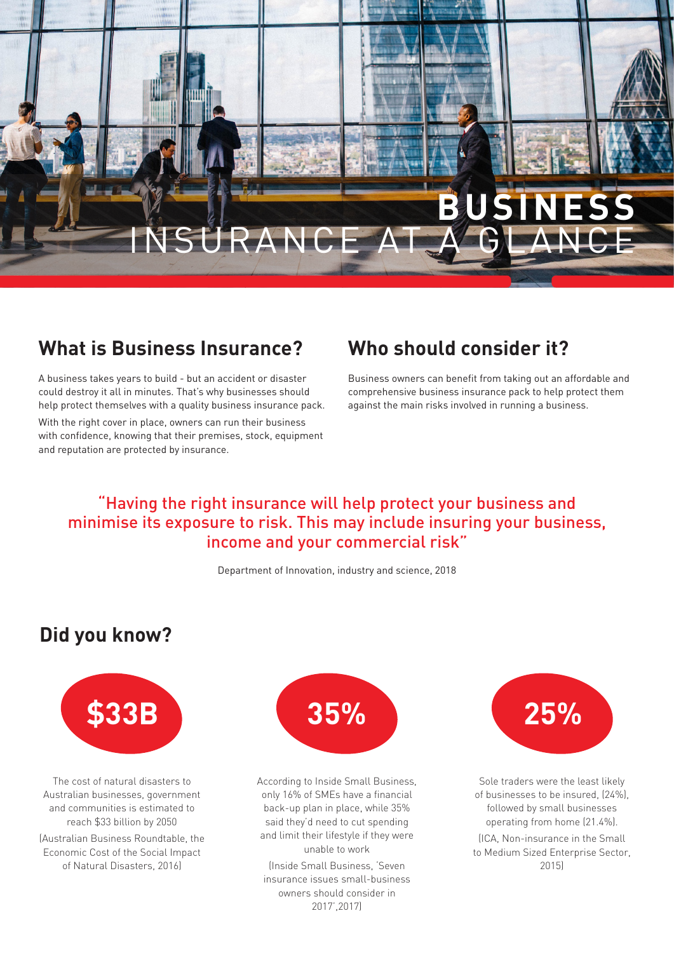

## **What is Business Insurance?**

A business takes years to build - but an accident or disaster could destroy it all in minutes. That's why businesses should help protect themselves with a quality business insurance pack. With the right cover in place, owners can run their business with confidence, knowing that their premises, stock, equipment and reputation are protected by insurance.

### **Who should consider it?**

Business owners can benefit from taking out an affordable and comprehensive business insurance pack to help protect them against the main risks involved in running a business.

#### "Having the right insurance will help protect your business and minimise its exposure to risk. This may include insuring your business, income and your commercial risk"

Department of Innovation, industry and science, 2018

#### **Did you know?**



The cost of natural disasters to Australian businesses, government and communities is estimated to reach \$33 billion by 2050

(Australian Business Roundtable, the Economic Cost of the Social Impact of Natural Disasters, 2016)



According to Inside Small Business, only 16% of SMEs have a financial back-up plan in place, while 35% said they'd need to cut spending and limit their lifestyle if they were unable to work

(Inside Small Business, 'Seven insurance issues small-business owners should consider in 2017',2017)



Sole traders were the least likely of businesses to be insured, (24%), followed by small businesses operating from home (21.4%).

(ICA, Non-insurance in the Small to Medium Sized Enterprise Sector, 2015)